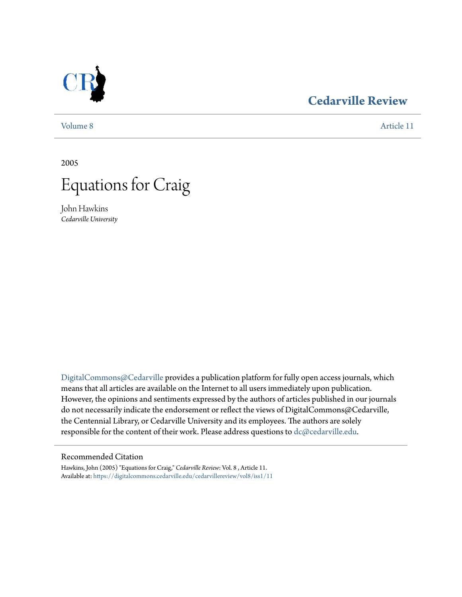

### **[Cedarville Review](https://digitalcommons.cedarville.edu/cedarvillereview?utm_source=digitalcommons.cedarville.edu%2Fcedarvillereview%2Fvol8%2Fiss1%2F11&utm_medium=PDF&utm_campaign=PDFCoverPages)**

[Volume 8](https://digitalcommons.cedarville.edu/cedarvillereview/vol8?utm_source=digitalcommons.cedarville.edu%2Fcedarvillereview%2Fvol8%2Fiss1%2F11&utm_medium=PDF&utm_campaign=PDFCoverPages) [Article 11](https://digitalcommons.cedarville.edu/cedarvillereview/vol8/iss1/11?utm_source=digitalcommons.cedarville.edu%2Fcedarvillereview%2Fvol8%2Fiss1%2F11&utm_medium=PDF&utm_campaign=PDFCoverPages)

2005



John Hawkins *Cedarville University*

[DigitalCommons@Cedarville](http://digitalcommons.cedarville.edu) provides a publication platform for fully open access journals, which means that all articles are available on the Internet to all users immediately upon publication. However, the opinions and sentiments expressed by the authors of articles published in our journals do not necessarily indicate the endorsement or reflect the views of DigitalCommons@Cedarville, the Centennial Library, or Cedarville University and its employees. The authors are solely responsible for the content of their work. Please address questions to [dc@cedarville.edu](mailto:dc@cedarville.edu).

#### Recommended Citation

Hawkins, John (2005) "Equations for Craig," *Cedarville Review*: Vol. 8 , Article 11. Available at: [https://digitalcommons.cedarville.edu/cedarvillereview/vol8/iss1/11](https://digitalcommons.cedarville.edu/cedarvillereview/vol8/iss1/11?utm_source=digitalcommons.cedarville.edu%2Fcedarvillereview%2Fvol8%2Fiss1%2F11&utm_medium=PDF&utm_campaign=PDFCoverPages)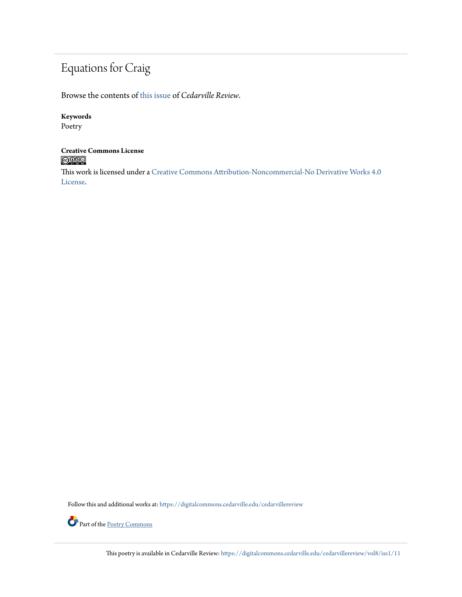## Equations for Craig

Browse the contents of [this issue](https://digitalcommons.cedarville.edu/cedarvillereview/vol8/iss1) of *Cedarville Review*.

#### **Keywords**

Poetry

## **Creative Commons License**<br> **C** 000

This work is licensed under a [Creative Commons Attribution-Noncommercial-No Derivative Works 4.0](http://creativecommons.org/licenses/by-nc-nd/4.0/) [License.](http://creativecommons.org/licenses/by-nc-nd/4.0/)

Follow this and additional works at: [https://digitalcommons.cedarville.edu/cedarvillereview](https://digitalcommons.cedarville.edu/cedarvillereview?utm_source=digitalcommons.cedarville.edu%2Fcedarvillereview%2Fvol8%2Fiss1%2F11&utm_medium=PDF&utm_campaign=PDFCoverPages)



This poetry is available in Cedarville Review: [https://digitalcommons.cedarville.edu/cedarvillereview/vol8/iss1/11](https://digitalcommons.cedarville.edu/cedarvillereview/vol8/iss1/11?utm_source=digitalcommons.cedarville.edu%2Fcedarvillereview%2Fvol8%2Fiss1%2F11&utm_medium=PDF&utm_campaign=PDFCoverPages)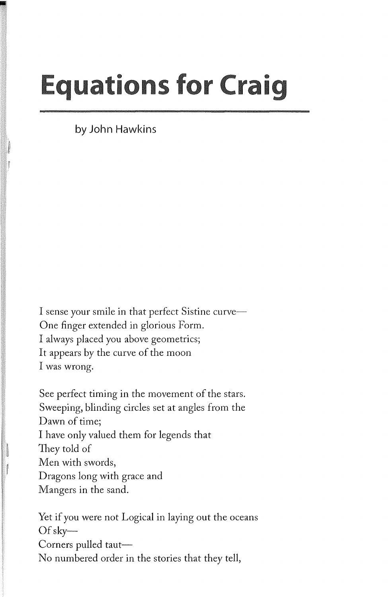# **Equations for Craig**

**by John** Hawkins

•

I sense your smile in that perfect Sistine curve-One finger extended in glorious Form. I always placed you above geometrics; It appears by the curve of the moon I was wrong.

See perfect timing in the movement of the stars. Sweeping, blinding circles set at angles from the Dawn of time; I have only valued them for legends that They told of Men with swords, Dragons long with grace and Mangers in the sand.

Yet if you were not Logical in laying out the oceans Of sky-Corners pulled taut-No numbered order in the stories that they tell,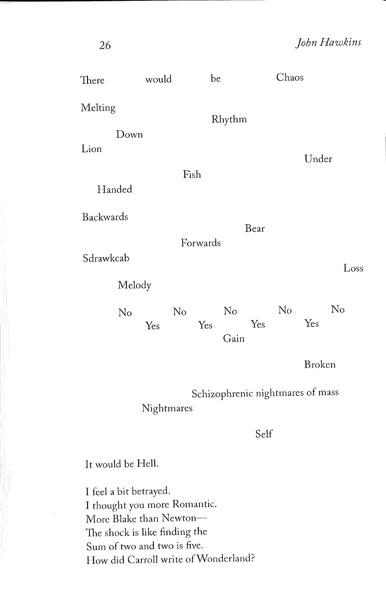| There           | would                            | be        |                   | Chaos     |        |  |
|-----------------|----------------------------------|-----------|-------------------|-----------|--------|--|
| Melting<br>Down |                                  |           | Rhythm            |           |        |  |
| Lion            |                                  | Fish      |                   |           | Under  |  |
| Handed          |                                  |           |                   |           |        |  |
| Backwards       |                                  | Forwards  | Bear              |           |        |  |
| Sdrawkcab       |                                  |           |                   |           | Loss   |  |
| Melody          |                                  |           |                   |           |        |  |
| No              | Yes                              | No<br>Yes | No<br>Yes<br>Gain | No<br>Yes | No     |  |
|                 |                                  |           |                   |           | Broken |  |
|                 | Schizophrenic nightmares of mass |           |                   |           |        |  |

Nightmares

Self

It would be Hell.

I feel a bit betrayed. I thought you more Romantic. More Blake than Newton-The shock is like finding the Sum of two and two is five. How did Carroll write ofWondcrland?